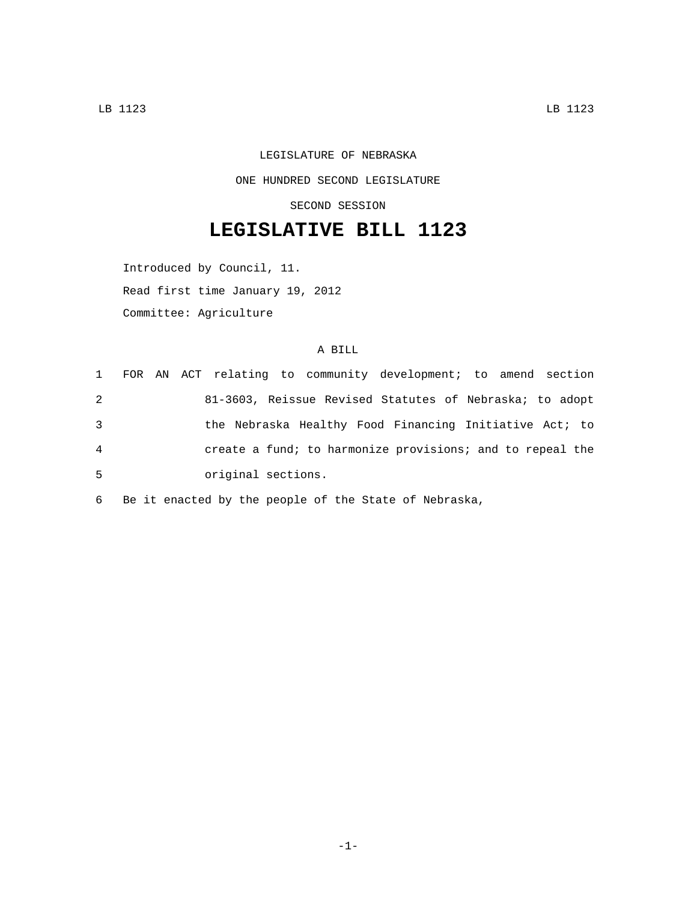## LEGISLATURE OF NEBRASKA ONE HUNDRED SECOND LEGISLATURE SECOND SESSION

## **LEGISLATIVE BILL 1123**

Introduced by Council, 11.

Read first time January 19, 2012

Committee: Agriculture

## A BILL

|   | 1 FOR AN ACT relating to community development; to amend section |
|---|------------------------------------------------------------------|
| 2 | 81-3603, Reissue Revised Statutes of Nebraska; to adopt          |
| 3 | the Nebraska Healthy Food Financing Initiative Act; to           |
| 4 | create a fund; to harmonize provisions; and to repeal the        |
| 5 | original sections.                                               |

6 Be it enacted by the people of the State of Nebraska,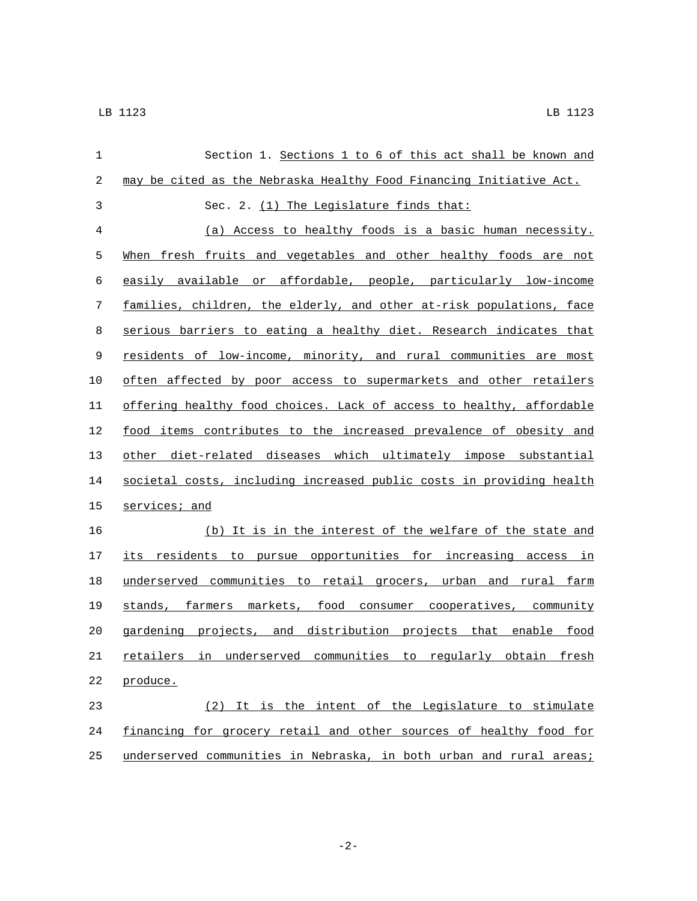| $\mathbf 1$ | Section 1. Sections 1 to 6 of this act shall be known and            |
|-------------|----------------------------------------------------------------------|
| 2           | may be cited as the Nebraska Healthy Food Financing Initiative Act.  |
| 3           | Sec. 2. (1) The Legislature finds that:                              |
| 4           | (a) Access to healthy foods is a basic human necessity.              |
| 5           | When fresh fruits and vegetables and other healthy foods are not     |
| 6           | easily available or affordable, people, particularly low-income      |
| 7           | families, children, the elderly, and other at-risk populations, face |
| 8           | serious barriers to eating a healthy diet. Research indicates that   |
| 9           | residents of low-income, minority, and rural communities are most    |
| 10          | often affected by poor access to supermarkets and other retailers    |
| 11          | offering healthy food choices. Lack of access to healthy, affordable |
| 12          | food items contributes to the increased prevalence of obesity and    |
| 13          | other diet-related diseases which ultimately impose substantial      |
| 14          | societal costs, including increased public costs in providing health |
| 15          | services; and                                                        |
| 16          | (b) It is in the interest of the welfare of the state and            |
| 17          | its residents to pursue opportunities for increasing access in       |
| 18          | underserved communities to retail grocers, urban and rural farm      |
| 19          | stands, farmers markets, food consumer cooperatives, community       |
| 20          | gardening projects, and distribution projects that enable food       |
| 21          | retailers in underserved communities to regularly obtain fresh       |
| 22          | produce.                                                             |
| 23          | (2) It is the intent of the Legislature to stimulate                 |
| 24          | financing for grocery retail and other sources of healthy food for   |
| 25          | underserved communities in Nebraska, in both urban and rural areas;  |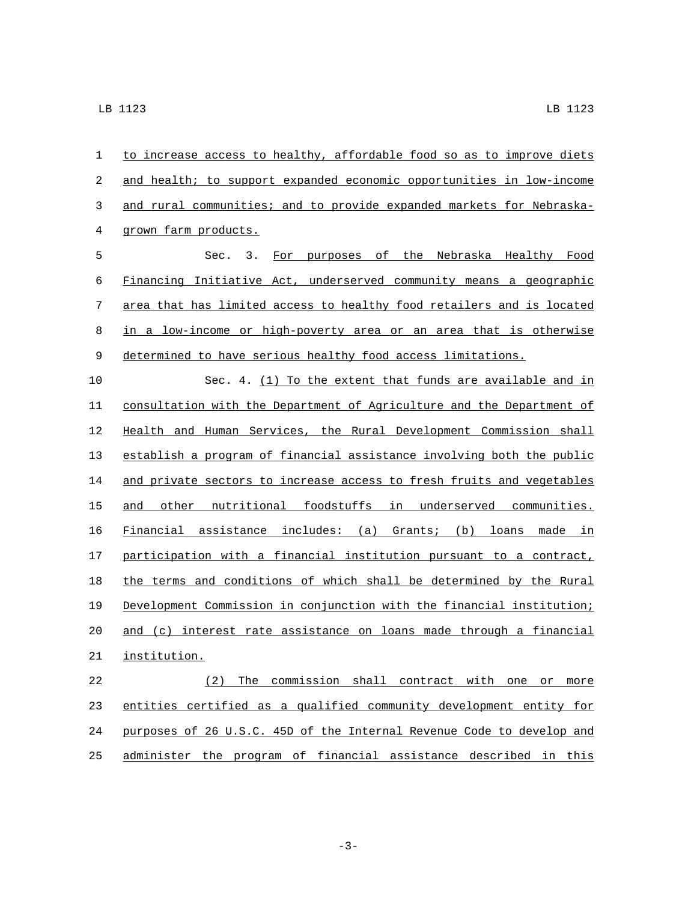| 1  | to increase access to healthy, affordable food so as to improve diets |
|----|-----------------------------------------------------------------------|
| 2  | and health; to support expanded economic opportunities in low-income  |
| 3  | and rural communities; and to provide expanded markets for Nebraska-  |
| 4  | grown farm products.                                                  |
| 5  | Sec. $3.$<br>For purposes of the Nebraska Healthy Food                |
| 6  | Financing Initiative Act, underserved community means a geographic    |
| 7  | area that has limited access to healthy food retailers and is located |
| 8  | in a low-income or high-poverty area or an area that is otherwise     |
| 9  | determined to have serious healthy food access limitations.           |
| 10 | Sec. 4. (1) To the extent that funds are available and in             |
| 11 | consultation with the Department of Agriculture and the Department of |
| 12 | Health and Human Services, the Rural Development Commission shall     |
| 13 | establish a program of financial assistance involving both the public |
| 14 | and private sectors to increase access to fresh fruits and vegetables |
| 15 | other nutritional foodstuffs in underserved communities.<br>and       |
| 16 | Financial assistance includes: (a) Grants; (b) loans made in          |
| 17 | participation with a financial institution pursuant to a contract,    |
| 18 | the terms and conditions of which shall be determined by the Rural    |
| 19 | Development Commission in conjunction with the financial institution; |
| 20 | and (c) interest rate assistance on loans made through a financial    |
| 21 | institution.                                                          |
| 22 | (2) The commission shall contract with one or more                    |
| 23 | entities certified as a qualified community development entity for    |
| 24 | purposes of 26 U.S.C. 45D of the Internal Revenue Code to develop and |
| 25 | administer the program of financial assistance described in this      |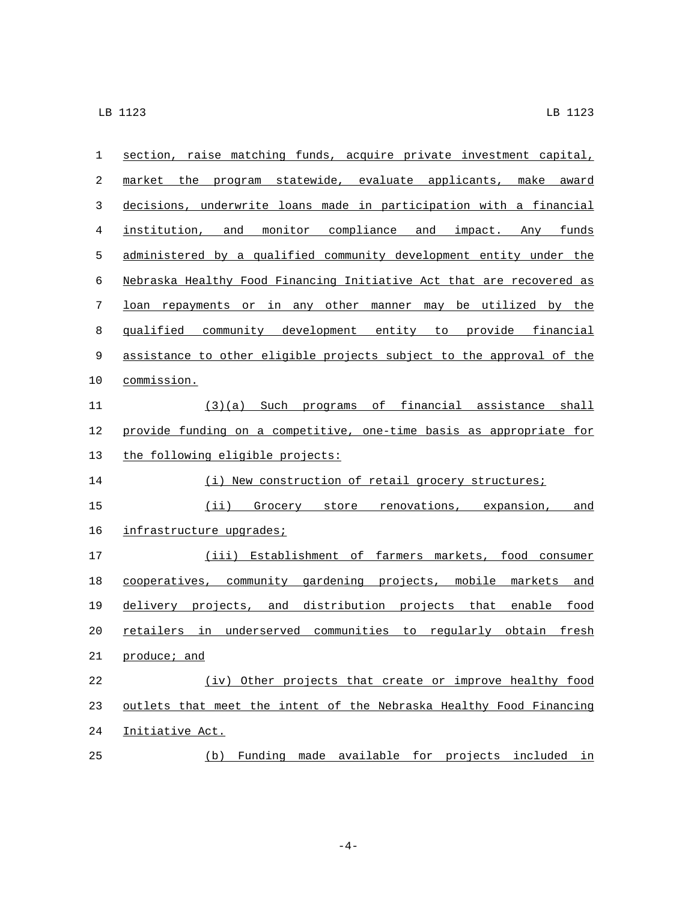| 1  | section, raise matching funds, acquire private investment capital,   |
|----|----------------------------------------------------------------------|
| 2  | market the program statewide, evaluate applicants, make award        |
| 3  | decisions, underwrite loans made in participation with a financial   |
| 4  | institution, and monitor compliance and impact. Any funds            |
| 5  | administered by a qualified community development entity under the   |
| 6  | Nebraska Healthy Food Financing Initiative Act that are recovered as |
| 7  | loan repayments or in any other manner may be utilized by the        |
| 8  | qualified community development entity to provide financial          |
| 9  | assistance to other eligible projects subject to the approval of the |
| 10 | commission.                                                          |
| 11 | $(3)(a)$ Such programs of financial assistance shall                 |
| 12 | provide funding on a competitive, one-time basis as appropriate for  |
| 13 | the following eligible projects:                                     |
| 14 | (i) New construction of retail grocery structures;                   |
| 15 | (ii) Grocery store renovations, expansion, and                       |
| 16 | infrastructure upgrades;                                             |
| 17 | (iii) Establishment of farmers markets, food consumer                |
| 18 | cooperatives, community gardening projects, mobile markets and       |
| 19 | delivery projects, and distribution projects that enable food        |
| 20 | retailers in underserved communities to regularly obtain fresh       |
| 21 | produce; and                                                         |
| 22 | (iv) Other projects that create or improve healthy food              |
| 23 | outlets that meet the intent of the Nebraska Healthy Food Financing  |
| 24 | Initiative Act.                                                      |
| 25 | Funding made available for projects included in<br>(b)               |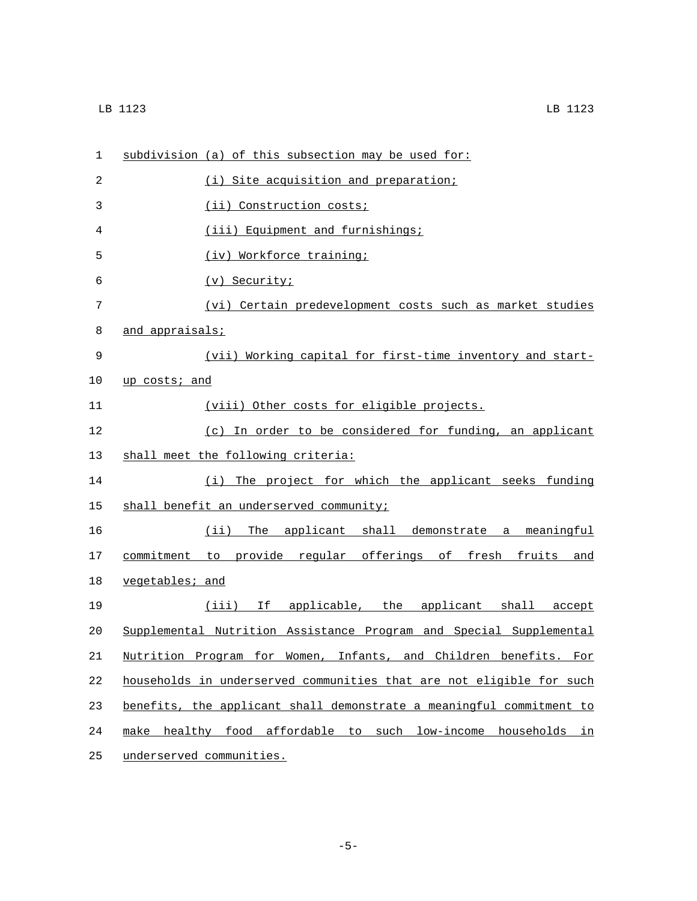| 1  | subdivision (a) of this subsection may be used for:                  |
|----|----------------------------------------------------------------------|
| 2  | (i) Site acquisition and preparation;                                |
| 3  | (ii) Construction costs;                                             |
| 4  | (iii) Equipment and furnishings;                                     |
| 5  | (iv) Workforce training;                                             |
| 6  | (v) Security;                                                        |
| 7  | (vi) Certain predevelopment costs such as market studies             |
| 8  | and appraisals;                                                      |
| 9  | (vii) Working capital for first-time inventory and start-            |
| 10 | up costs; and                                                        |
| 11 | (viii) Other costs for eligible projects.                            |
| 12 | (c) In order to be considered for funding, an applicant              |
| 13 | shall meet the following criteria:                                   |
| 14 | The project for which the applicant seeks funding<br>(i)             |
| 15 | shall benefit an underserved community;                              |
| 16 | (ii) The applicant shall demonstrate a meaningful                    |
| 17 | commitment to provide regular offerings of fresh fruits and          |
| 18 | vegetables; and                                                      |
| 19 | (iii) If applicable, the applicant shall accept                      |
| 20 | Supplemental Nutrition Assistance Program and Special Supplemental   |
| 21 | Nutrition Program for Women, Infants, and Children benefits. For     |
| 22 | households in underserved communities that are not eligible for such |
| 23 | benefits, the applicant shall demonstrate a meaningful commitment to |
| 24 | healthy food affordable to such low-income households in<br>make     |
| 25 | underserved communities.                                             |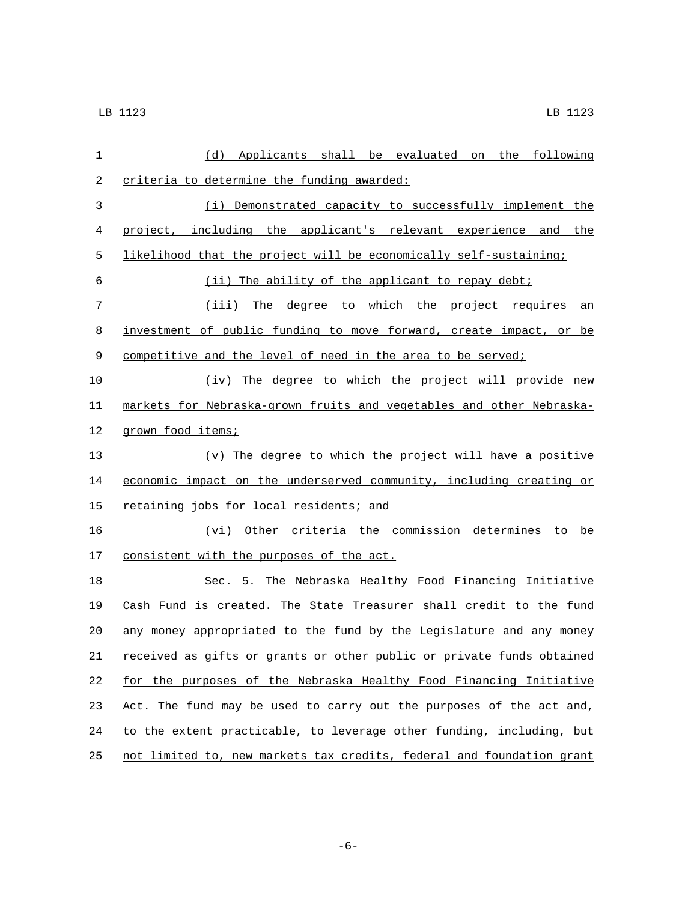| 1  | (d) Applicants shall be evaluated on the following                    |
|----|-----------------------------------------------------------------------|
| 2  | criteria to determine the funding awarded:                            |
| 3  | (i) Demonstrated capacity to successfully implement the               |
| 4  | project, including the applicant's relevant experience and the        |
| 5  | likelihood that the project will be economically self-sustaining;     |
| 6  | (ii) The ability of the applicant to repay debt;                      |
| 7  | (iii) The degree to which the project requires an                     |
| 8  | investment of public funding to move forward, create impact, or be    |
| 9  | competitive and the level of need in the area to be served;           |
| 10 | (iv) The degree to which the project will provide new                 |
| 11 | markets for Nebraska-grown fruits and vegetables and other Nebraska-  |
| 12 | grown food items;                                                     |
| 13 | (v) The degree to which the project will have a positive              |
| 14 | economic impact on the underserved community, including creating or   |
| 15 | retaining jobs for local residents; and                               |
| 16 | (vi) Other criteria the commission determines to be                   |
| 17 | consistent with the purposes of the act.                              |
| 18 | Sec. 5. The Nebraska Healthy Food Financing Initiative                |
| 19 | Cash Fund is created. The State Treasurer shall credit to the fund    |
| 20 | any money appropriated to the fund by the Legislature and any money   |
| 21 | received as gifts or grants or other public or private funds obtained |
| 22 | for the purposes of the Nebraska Healthy Food Financing Initiative    |
| 23 | Act. The fund may be used to carry out the purposes of the act and,   |
| 24 | to the extent practicable, to leverage other funding, including, but  |
| 25 | not limited to, new markets tax credits, federal and foundation grant |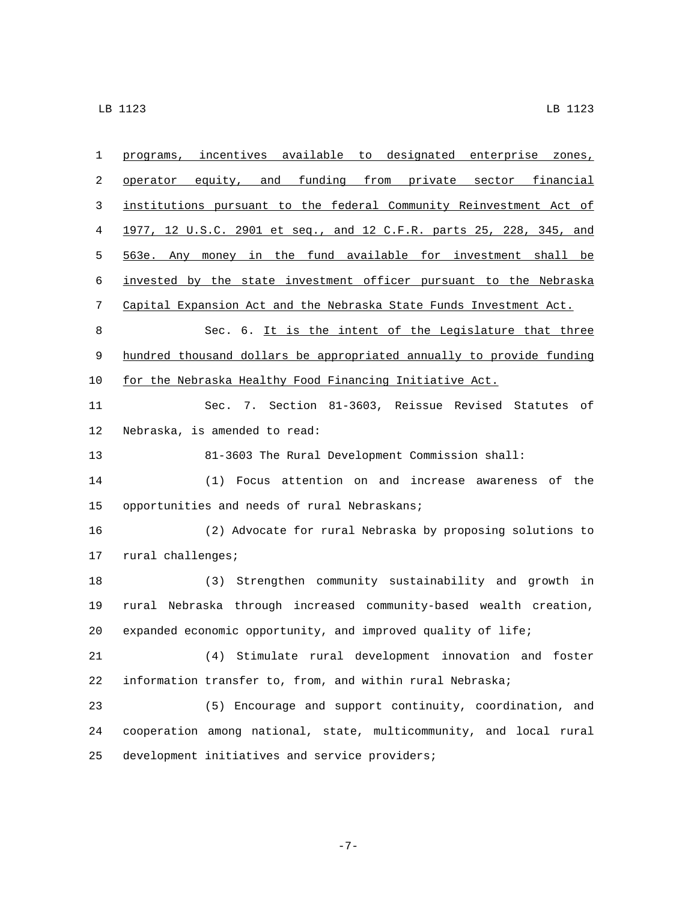| $\mathbf{1}$ | programs, incentives available to designated enterprise zones,       |
|--------------|----------------------------------------------------------------------|
| 2            | operator equity, and funding from private sector financial           |
| 3            | institutions pursuant to the federal Community Reinvestment Act of   |
| 4            | 1977, 12 U.S.C. 2901 et seq., and 12 C.F.R. parts 25, 228, 345, and  |
| 5            | 563e. Any money in the fund available for investment shall be        |
| 6            | invested by the state investment officer pursuant to the Nebraska    |
| 7            | Capital Expansion Act and the Nebraska State Funds Investment Act.   |
| 8            | Sec. 6. It is the intent of the Legislature that three               |
| 9            | hundred thousand dollars be appropriated annually to provide funding |
| 10           | for the Nebraska Healthy Food Financing Initiative Act.              |
| 11           | Sec. 7. Section 81-3603, Reissue Revised Statutes of                 |
| 12           | Nebraska, is amended to read:                                        |
| 13           | 81-3603 The Rural Development Commission shall:                      |
| 14           | Focus attention on and increase awareness of<br>the<br>(1)           |
| 15           | opportunities and needs of rural Nebraskans;                         |
| 16           | (2) Advocate for rural Nebraska by proposing solutions to            |
| 17           | rural challenges;                                                    |
| 18           | (3) Strengthen community sustainability and growth in                |
| 19           | rural Nebraska through increased community-based wealth creation,    |
| 20           | expanded economic opportunity, and improved quality of life;         |
| 21           | (4) Stimulate rural development innovation and foster                |
| 22           | information transfer to, from, and within rural Nebraska;            |
| 23           | (5) Encourage and support continuity, coordination, and              |
| 24           | cooperation among national, state, multicommunity, and local rural   |
| 25           | development initiatives and service providers;                       |

-7-